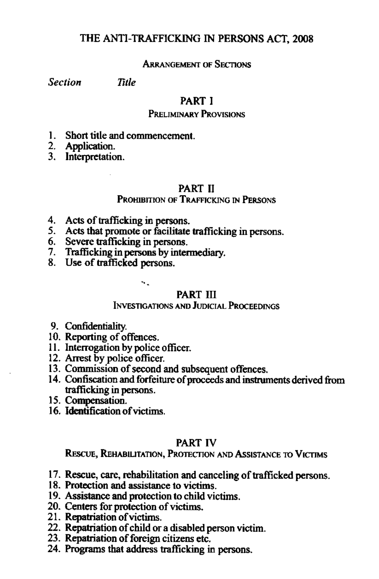# THE ANTI-TRAFFICKING IN PERSONS ACT, 2008

# ARRANGEMENT OF SECTIONS

*Section Title*

# PART I

#### PRELIMINARY PROVISIONS

1. Short title and commencement.

2. Application.

3. Interpretation.

# PART II

# PROHIBITION OF TRAFFICKING IN PERSONS

- 4. Acts of trafficking in persons.
- 5. Acts that promote or facilitate trafficking in persons.
- 6. Severe trafficking in persons.
- 7. Trafficking inpersons by intermediary.
- 8. Use of trafficked persons.

..

#### PART III

# INVESTIGATIONS ANDJUDICIAL PROCEEDINGS

- 9. Confidentiality.
- 10. Reporting of offences.
- 11. Interrogation by police officer.
- 12. Arrest by police officer.
- 13. Commission of second and subsequent offences.
- 14. Confiscation and forfeiture of proceeds and instruments derived from trafficking in persons.
- IS. Compensation.
- 16. Identification ofvictims.

# PART IV

REscUE, REHABIUTATION, PROTECTIONAND AsSISTANCE 10 VICTIMS

- 17. Rescue, care, rehabilitation and canceling of trafficked persons.
- 18. Protection and assistance to victims.
- 19. Assistance and protection to child victims.
- 20. Centers for protection of victims.
- 21. Repatriation of victims.
- 22. Repatriation of child or a disabled person victim.
- 23. Repatriation of foreign citizens etc.
- 24. Programs that address trafficking in persons.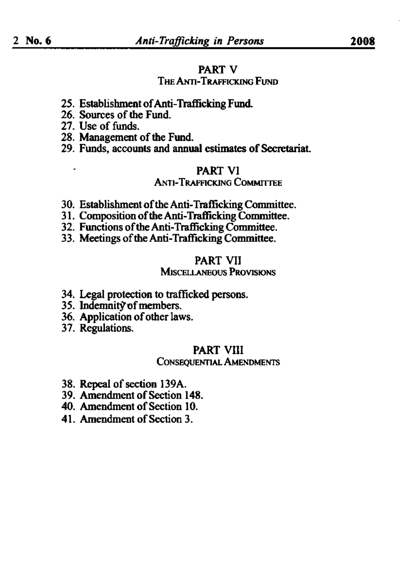#### PART V

# THE ANTI-TRAFFICKING FUND

- 25. EstablishmentofAnti-Trafficking Fund.
- 26. Sources of the Fund.
- 27. Usc of funds.
- 28. Management of the Fund.
- 29. Funds, accounts and annual estimates of Secretariat.

#### PART VI

#### ANTI-TRAFFICKING COMMITTEE

- 30. Establishment of the Anti-Trafficking Committee.
- 31. Composition of the Anti-Trafficking Committee.
- 32. Functions of the Anti-Trafficking Committee.
- 33. Meetings of the Anti-Trafficking Committee.

#### PART VII

#### **MISCELLANEOUS PROVISIONS**

- 34. Legal protection to trafficked persons.
- 35. Indemnity of members.
- 36. Application of other laws.
- 37. ReguIations.

# PART VIII

#### CONsEQuENTlALAMENDMENTS

- 38. Repeal of section 139A.
- 39. Amendment of Section 148.
- 40. Amendment of Section 10.
- 41. Amendment of Section 3.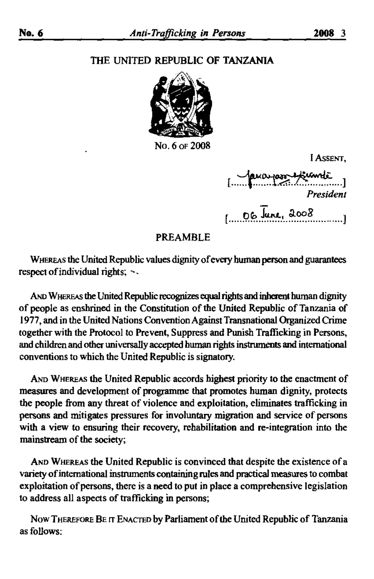# THE UNITED REPUBLIC OF TANZANIA



No. 6 of 2008

I Assent.

ua jaro Kunde  $106$  June, 2008

#### **PREAMBLE**

WHEREAS the United Republic values dignity of every human person and guarantees respect of individual rights; ~~

AND WHEREAS the United Republic recognizes equal rights and inherent human dignity of people as enshrined in the Constitution of the United Republic of Tanzania of 1977, and in the United Nations Convention Against Transnational Organized Crime together with the Protocol to Prevent, Suppress and Punish Trafficking in Persons, and children and other universally accepted human rights instruments and international conventions to which the United Republic is signatory.

AND WHEREAS the United Republic accords highest priority to the enactment of measures and development of programme that promotes human dignity, protects the people from any threat of violence and exploitation, eliminates trafficking in persons and mitigates pressures for involuntary migration and service of persons with a view to ensuring their recovery, rehabilitation and re-integration into the mainstream of the society;

AND WHEREAS the United Republic is convinced that despite the existence of a variety of international instruments containing rules and practical measures to combat exploitation of persons, there is a need to put in place a comprehensive legislation to address all aspects of trafficking in persons;

Now THEREFORE BE IT ENACTED by Parliament of the United Republic of Tanzania as follows: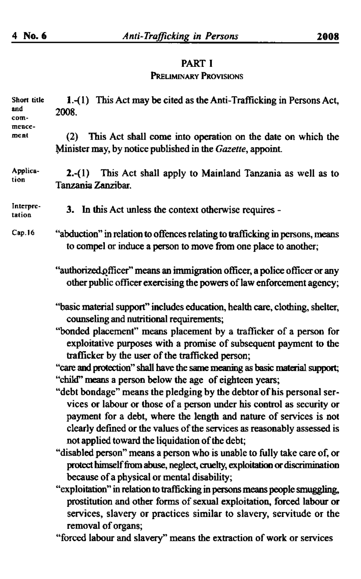# PART I PRELIMINARY PROVISIONS

| Short title<br>and<br>com-<br>mence-<br>ment | 1.-(1) This Act may be cited as the Anti-Trafficking in Persons Act,<br>2008.                                                                                                                                                                                                                                                                     |
|----------------------------------------------|---------------------------------------------------------------------------------------------------------------------------------------------------------------------------------------------------------------------------------------------------------------------------------------------------------------------------------------------------|
|                                              | This Act shall come into operation on the date on which the<br>(2)<br>Minister may, by notice published in the Gazette, appoint.                                                                                                                                                                                                                  |
| Applica-<br>tion                             | 2.-(1) This Act shall apply to Mainland Tanzania as well as to<br>Tanzania Zanzibar.                                                                                                                                                                                                                                                              |
| Interpre-<br>tation                          | 3. In this Act unless the context otherwise requires -                                                                                                                                                                                                                                                                                            |
| Cap.16                                       | "abduction" in relation to offences relating to trafficking in persons, means<br>to compel or induce a person to move from one place to another;                                                                                                                                                                                                  |
|                                              | "authorized officer" means an immigration officer, a police officer or any<br>other public officer exercising the powers of law enforcement agency;                                                                                                                                                                                               |
|                                              | "basic material support" includes education, health care, clothing, shelter,<br>counseling and nutritional requirements;                                                                                                                                                                                                                          |
|                                              | "bonded placement" means placement by a trafficker of a person for<br>exploitative purposes with a promise of subsequent payment to the<br>trafficker by the user of the trafficked person;                                                                                                                                                       |
|                                              | "care and protection" shall have the same meaning as basic material support;                                                                                                                                                                                                                                                                      |
|                                              | "child" means a person below the age of eighteen years;                                                                                                                                                                                                                                                                                           |
|                                              | "debt bondage" means the pledging by the debtor of his personal ser-<br>vices or labour or those of a person under his control as security or<br>payment for a debt, where the length and nature of services is not<br>clearly defined or the values of the services as reasonably assessed is<br>not applied toward the liquidation of the debt; |
|                                              | "disabled person" means a person who is unable to fully take care of, or<br>protect himself from abuse, neglect, cruelty, exploitation or discrimination<br>because of a physical or mental disability;                                                                                                                                           |
|                                              | "exploitation" in relation to trafficking in persons means people smuggling,<br>prostitution and other forms of sexual exploitation, forced labour or<br>services, slavery or practices similar to slavery, servitude or the                                                                                                                      |
|                                              | removal of organs;<br>"forced labour and slavery" means the extraction of work or services                                                                                                                                                                                                                                                        |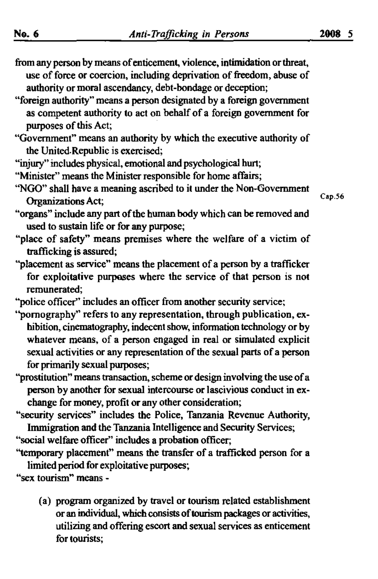- from any person by means of enticement, violence, intimidation or threat, use of force or coercion, including deprivation of freedom, abuse of authority or moral ascendancy, debt-bondage or deception;
- "foreign authority" means a person designated by a foreign government as competent authority to act on behalf of a foreign government for purposes of this Act;
- "Government" means an authority by which the executive authority of the United.Republic is exercised;
- "injury" includes physical, emotional and psychological hurt;
- "Minister" means the Minister responsible for home affairs;
- ''NGO'' shall have a meaning ascribed to it under the Non-Government Organizations Act;
- "organs" include any part of the human body which can be removed and used to sustain life or for any purpose;
- "place of safety" means premises where the welfare of a victim of trafficking is assured;
- "placement as service" means the placement of a person by a trafficker for exploitative purposes where the service of that person is not remunerated;
- "police officer" includes an officer from another security service;
- "pornography" refers to any representation, through publication, exbibition, cinematography, indecent show, information technology or by whatever means, of a person engaged in real or simulated explicit sexual activities or any representation of the sexual parts of a person for primarily sexual purposes;
- "prostitution" means transaction, scheme or design involving the use of a person by another for sexual intercourse or lascivious conduct in exchange for money, profit or any other consideration;
- "security services" includes the Police, Tanzania Revenue Authority, Immigration and the Tanzania Intelligence and Security Services;
- "social welfare officer" includes a probation officer;
- ''temporary placement" means the transfer of a trafficked person for a limited period for exploitative purposes;
- "sex tourism" means
	- (a) program organized by travel or tourism related establishment or an individual, wbich consists oftourismpackages or activities, utilizing and offering escort and sexual services as enticement for tourists;

Cap.56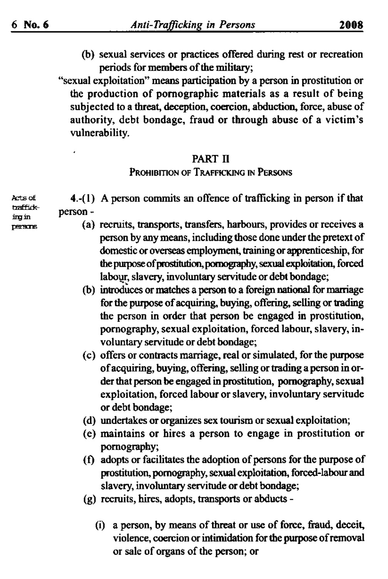(b) sexual services or practices offered during rest or recreation periods for members of the military;

"sexual exploitation" means participation by a person in prostitution or the production of pornographic materials as a result of being subjected to a threat, deception, coercion, abduction, force, abuse of authority, debt bondage, fraud or through abuse of a victim's vulnerability.

# PART II

#### PROHIBITION OF TRAFFICKING IN PERSONS

4.-(1) A person commits an offence of trafficking in person if that person-

- (a) recruits, transports, transfers, harbours, provides or receives a person by any means, including those done under the pretext of domestic or overseas employment, training or apprenticeship, for the purpose of prostitution, pornography, sexual exploitation, forced labour, slavery, involuntary servitude or debt bondage;
- (b) introduces or matches a person to a foreign national for marriage for the purpose of acquiring, buying, offering, selling or trading the person in order that person be engaged in prostitution, pornography, sexual exploitation, forced labour, slavery, involuntary servitude or debt bondage;
- (c) offers or contracts marriage, real or simulated, for the purpose of acquiring, buying, offering, selling or trading a person in order that person be engaged in prostitution, pornography, sexual exploitation, forced labour or slavery, involuntary servitude or debt bondage;
- (d) undertakes or organizes sex tourism or sexual exploitation;
- (e) maintains or hires a person to engage in prostitution or pornography;
- (f) adopts or facilitates the adoption of persons for the purpose of prostitution, pornography, sexual exploitation, forced-labour and slavery, involuntary servitude or debt bondage;
- (g) recruits, hires, adopts, transports or abducts -
	- (i) a person, by means of threat or use of force, fraud, deceit, violence, coercion or intimidation for the purpose of removal or sale of organs of the person; or

Arts of <del>baffidk</del>ino in œere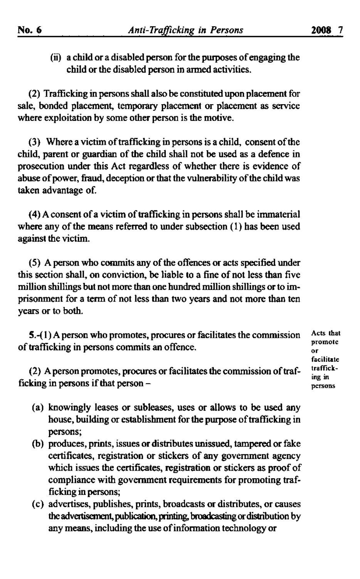Acts that promote or<br>facilitate trafficking in persons

(ii) a child or a disabled person for the purposes of engaging the child or the disabled person in armed activities.

(2) Trafficking in persons shall also be constituted upon placement for sale, bonded placement, temporary placement or placement as service where exploitation by some other person is the motive.

(3) Where a victim of trafficking in persons is a child, consent of the child, parent or guardian of the child shall not be used as a defence in prosecution under this Act regardless of whether there is evidence of abuse of power, fraud, deception or that the vulnerability of the child was taken advantage of.

(4) A consent of a victim of trafficking in persons shall be immaterial where any of the means referred to under subsection  $(1)$  has been used against the victim.

(5) A person who commits any of the offences or acts specified under this section shall, on conviction, be liable to a fine of not less than five million shillings but not more than one hundred million shillings or to imprisonment for a term of not less than two years and not more than ten years or to both.

S.-( I) A person who promotes, procures or facilitates the commission of trafficking in persons commits an offence.

(2) A person promotes, procures or facilitates the commission of trafficking in persons if that person  $-$ 

- (a) knowingly leases or subleases, uses or allows to be used any house, building or establishment for the purpose of trafficking in persons;
- (b) produces, prints, issues or distributes unissued, tampered or fake certificates, registration or stickers of any government agency which issues the certificates, registration or stickers as proof of compliance with government requirements for promoting trafficking in persons;
- (c) advertises, publishes, prints, broadcasts or distributes, or causes the advertisement, publication, printing, broadcasting or distribution by any means, including the use of information technology or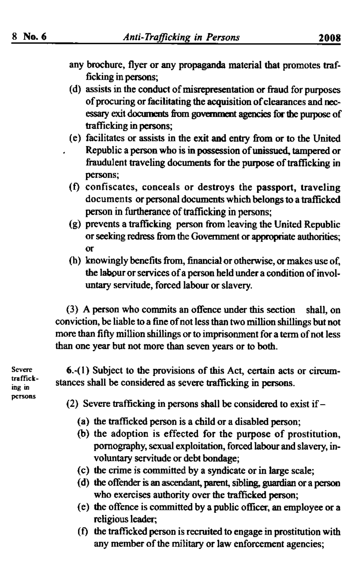- any brochure, flyer or any propaganda material that promotes trafficking in persons;
- (d) assists in the conduct of misrepresentation or fraud for purposes of procuring or facilitating the acquisition of clearances and necessary exit documents from government agencies for the purpose of trafficking in persons;
- (e) facilitates or assists in the exit and entry from or to the United Republic a person who is in possession of unissued, tampered or fraudulent traveling documents for the purpose of trafficking in persons;
- (f) confiscates, conceals or destroys the passport, traveling documents or personal documents which belongs to a trafficked person in furtherance of trafficking in persons;
- (g) prevents a trafficking person from leaving the United Republic or seeking redress from the Government or appropriate authorities; or
- (h) knowingly benefits from, financial or otherwise, or makes use of, the labour or services of a person held under a condition of involuntary servitude, forced labour or slavery.

(3) A person who commits an offence under this section shall, on conviction, be liable to a fine ofnot less than two million shillings but not more than fifty million shillings or to imprisonment for a term of not less than one year but not more than seven years or to both.

Severe trafficking in persons

6.-(1) Subject to the provisions of this Act, certain acts or circumstances shall be considered as severe trafficking in persons.

- (2) Severe trafficking in persons shall be considered to exist if  $-$ 
	- (a) the trafficked person is a child or a disabled person;
	- (b) the adoption is effected for the purpose of prostitution, pornography, sexual exploitation, forced labour and slavery, involuntary servitude or debt bondage;
	- (c) the crime is committed by a syndicate or in large scale;
	- (d) the offender is an ascendant, parent, sibling, guardian or a person who exercises authority over the trafficked person;
	- (e) the offence is committed by a public officer, an employee or a religious leader;
	- (f) the trafficked person is recruited to engage in prostitution with any member of the military or law enforcement agencies;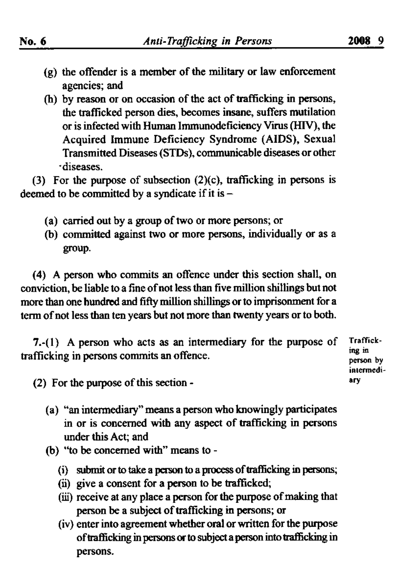- $(g)$  the offender is a member of the military or law enforcement agencies; and
- (h) by reason or on occasion of the act of trafficking in persons, the trafficked person dies, becomes insane, suffers mutilation or is infected with Human Immunodeficiency Virus (HIV), the Acquired Immune Deficiency Syndrome (AIDS), Sexual Transmitted Diseases (STDs), communicable diseases or other -diseases.

(3) For the purpose of subsection  $(2)(c)$ , trafficking in persons is deemed to be committed by a syndicate if it is  $-$ 

- (a) carried out by a group of two or more persons; or
- (b) committed against two or more persons, individually or as a group.

(4) A person who commits an offence under this section shall, on conviction, be liable to a fine of not less than five million shillings but not more than one hundred and fifty million shillings or to imprisonment for a term of not less than ten years but not more than twenty years or to both.

7.-(l} A person who acts as an intermediary for the purpose of trafficking in persons commits an offence.

Trafficking in person by intermedi arv

(2) For the purpose of this section -

- (a) "an intermediary" means a person who knowingly participates in or is concerned with any aspect of trafficking in persons under this Act; and
- (b) "to be concerned with" means to-
	- (i) submit or to take a person to a process of trafficking in persons;
	- (ii) give a consent for a person to be trafficked;
	- (iii) receive at any place a person for the purpose of making that person be a subject of trafficking in persons; or
	- (iv) enterinto agreement whether oral or written for the purpose of trafficking in persons or to subject a person into trafficking in persons.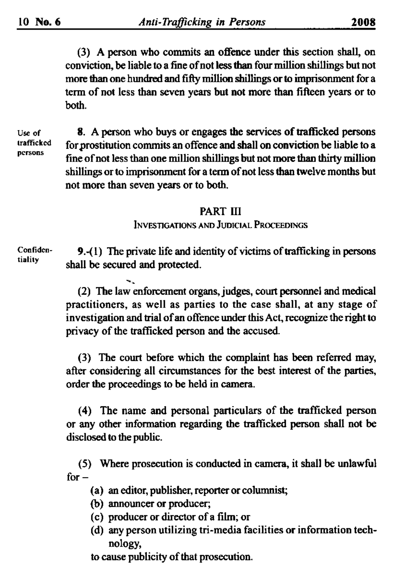(3) A person wbo commits an offence under this section shall, on conviction, be liable to a fine of not less than four million shillings but not more than one hundred and fifty million shillings or to imprisonment for a term of not less than seven years but not more than fifteen years or to both.

Use of trafficked persons

8. A person who buys or engages the services of trafficked persons for prostitution commits an offence and shall on conviction be liable to a fine of not less than one million shillings but not more than thirty million shillings or to imprisonment for a term of not less than twelve months but not more than seven years or to both.

# PART III

INVESTIGATIONS AND JUDICIAL PROCEEDINGS

Confidentiality

9.- $(1)$  The private life and identity of victims of trafficking in persons shall be secured and protected.

(2) The law enforcement organs.judges, court personnel and medical practitioners, as well as parties to the case shall, at any stage of investigation and trial of an offence under this Act, recognize the right to privacy of the trafficked person and the accused.

(3) The court before which the complaint has been referred may, after considering all circumstances for the best interest of the parties, order the proceedings to be held in camera.

(4) The name and personal particulars of the trafficked person or any other information regarding the trafficked person shall not be disclosed to the public.

(5) Where prosecution is conducted in camera, it shall be unlawful for-

- (a) an editor, publisher, reporter or columnist;
- (b) announcer or producer;
- (c) producer or director ofa film; or
- (d) any person utilizing tri-media facilities or information technology,
- to cause publicity of that prosecution.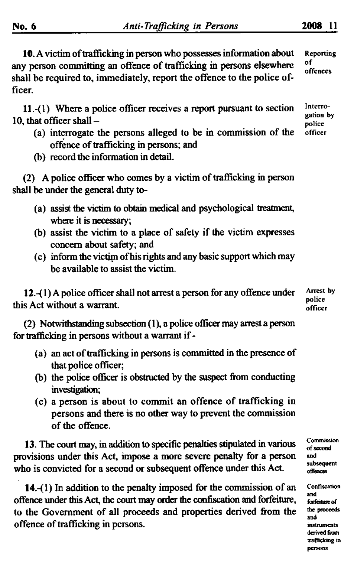10. A victim of trafficking in person who possesses information about any person committing an offence of trafficking in persons elsewhere shall be required to, immediately, report the offence to the police officer. Reponing of offences

11.-(1) Where a police officer receives a report pursuant to section 10, that officer shall  $-$ 

- (a) interrogate the persons alleged to be in commission of the offence of trafficking in persons; and
- (b) record the information in detail.

 $(2)$  A police officer who comes by a victim of trafficking in person shall be under the general duty to-

- (a) assist the victim to obtain medical and psychological treatment., where it is necessary;
- (b) assist the victim to a place of safety if the victim expresses concern about safety; and
- (c) inform the victim ofhis rights and any basic support which may be available to assist the victim.

 $12-(1)$  A police officer shall not arrest a person for any offence under this Act without a warrant.

(2) Notwithstanding subsection (1), a police officer may arrest a person for trafficking in persons without a warrant if-

- (a) an act of trafficking in persons is committed in the presence of that police officer;
- (b) the police officer is obstructed by the suspect from conducting investigation;
- (c) a person is about to commit an offence of trafficking in persons and there is no other way to prevent the commission of the offence.

13. The court may, in addition to specific penalties stipulated in various provisions under this Act, impose a more severe penalty for a person who is convicted for a second or subsequent offence under this Act.

14.-(1) In addition to the penalty imposed for the commission of an offence under this Act, the court may order the confiscation and forfeiture, to the Government of all proceeds and properties derived from the offence of trafficking in persons.

Interrogation by police officer

Arrest by police officer

Commission<br>of second<br>and subsequent offences

Confiscation exhibitant<br>and<br>forfeiture of<br>the proceed<br>and toriculus of<br>the proceeds<br>and<br>instruments<br>derived from<br>trafficking in<br>persons instruments. derived from trafficking in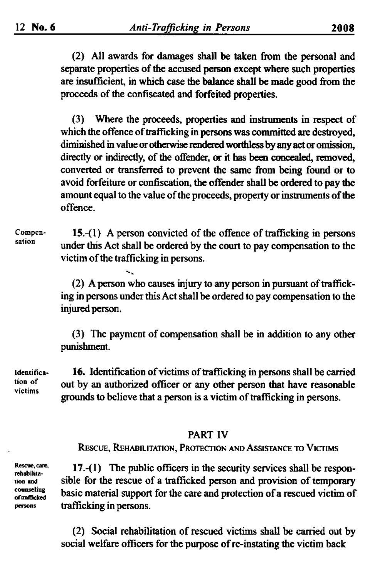(2) All awards for damages shall be taken from the personal and separate properties of the accused person except where such properties are insufficient, in which case the balance shall be made good from the proceeds of the confiscated and forfeited properties.

(3) Where the proceeds, properties and instruments in respect of which the offence of trafficking in persons was committed are destroyed, diminished in value or otherwise rendered worthless by any act or omission, directly or indirectly, of the offender, or it has been concealed, removed, converted or transferred to prevent the same from being found or to avoid forfeiture or confiscation, the offender shall be ordered to pay the amount equal to the value of the proceeds, property or instruments of the offence.

Compen-15.- $(1)$  A person convicted of the offence of trafficking in persons sation under this Act shall be ordered by the court to pay compensation to the victim of the trafficking in persons.

> (2) A person who causes injury to any person in pursuant of trafficking in persons under this Act shall be ordered to pay compensation to the injured person.

> (3) The payment of compensation shall be in addition to any other punishment.

16. Identification of victims of trafficking in persons shall be carried Identification of out by an authorized officer or any other person that have reasonable victims grounds to believe that a person is a victim of trafficking in persons.

#### **PART IV**

RESCUE, REHABILITATION, PROTECTION AND ASSISTANCE TO VICTIMS

Rescue, care, rehabilitation and counseling of trafficked persons

17.-(1) The public officers in the security services shall be responsible for the rescue of a trafficked person and provision of temporary basic material support for the care and protection of a rescued victim of trafficking in persons.

(2) Social rehabilitation of rescued victims shall be carried out by social welfare officers for the purpose of re-instating the victim back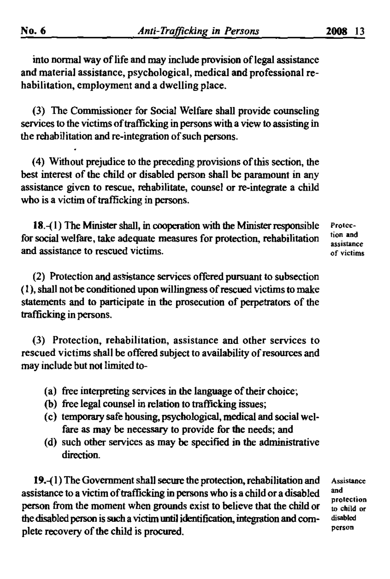into normal way of life and may include provision of legal assistance and material assistance, psychological, medical and professional rehabilitation, employment and a dwelling place.

(3) The Commissioner for Social Welfare shall provide counseling services to the victims of trafficking in persons with a view to assisting in the rehabilitation and re-integration of such persons.

(4) Without prejudice to the preceding provisions ofthis section, the best interest of the child or disabled person shall be paramount in any assistance given to rescue, rehabilitate, counselor re-integrate a child who is a victim of trafficking in persons.

18.-{I) The Minister shall, in cooperation with the Minister responsible for social welfare, take adequate measures for protection, rehabilitation and assistance to rescued victims.

(2) Protection and assistance services offered pursuant to subsection (I), shall not be conditioned upon willingness ofrescued victims to make statements and to participate in the prosecution of perpetrators of the trafficking in persons.

(3) Protection, rehabilitation, assistance and other services to rescued victims shall be offered subject to availability of resources and may include but not limited to-

- (a) free interpreting services in the language of their choice;
- (b) free legal counsel in relation to trafficking issues;
- (c) temporary safe housing, psychological, medical and social welfare as may be necessary to provide for the needs; and
- (d) such other services as may be specified in the administrative direction.

19.-{1)The Government shall secure the protection,rehabilitation and assistance to a victim of trafficking in persons who is a child or a disabled person from the moment when grounds exist to believe that the child or the disabled person is such a victim until identification, integration and complete recovery of the child is procured.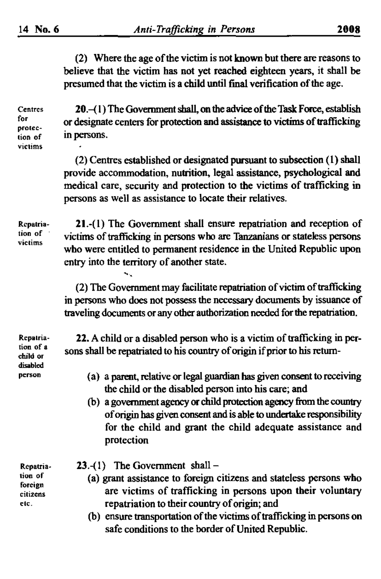(2) Where the age ofthe victim is not known but there are reasons to believe that the victim has not yet reached eighteen years, it shall be presumed that the victim is a child until final verification of the age.

Centres fer proteclion of victims

20.-(1) The Government shall, on the advice of the Task Force, establish or designate centers for protection and assistance to victims of trafficking in persons.

(2) Centres established or designated pursuant to subsection (1) shall provide accommodation, nutrition. legal assistance, psychological and medical care, security and protection to the victims of trafficking in persons as well as assistance to locate their relatives.

Rcpatriation of victims

21.-(1) The Government shall ensure repatriation and reception of victims of trafficking in persons who are Tanzanians or stateless persons who were entitled to permanent residence in the United Republic upon *entry* into the territory of another state.

(2) The Government may facilitate repatriation of victim of trafficking in persons who does not possess the necessary documents by issuance of traveling documents or any other authorization needed for the repatriation.

Repalriation of a child or disabled person

22. A child or a disabled person who is a victim of trafficking in persons shall be repatriated to his country of origin if prior to his return-

- (a) a parent, relative or legal guardian hasgiven consent to receiving the child or the disabled person into his care; and
- (b) a government agency or child protection agency from the country of origin has given consent and is able to undertake responsibility for the child and grant the child adequate assistance and protection

Repatriation of foreign citizens etc.

- $23.-(1)$  The Government shall -
	- (a) grant assistance to foreign citizens and stateless persons who are victims of trafficking in persons upon their voluntary repatriation to their country of origin; and
	- (b) ensure transportation of the victims of trafficking in persons on safe conditions to the border of United Republic.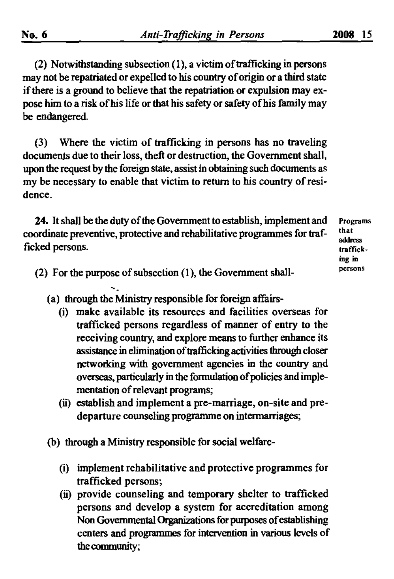(2) Notwithstanding subsection  $(1)$ , a victim of trafficking in persons may not be repatriated or expelled to his country oforigin or a third state if there is a ground to believe that the repatriation or expulsion may expose him to a risk of his life or that his safety or safety of his family may be endangered.

(3) Where the victim of trafficking in persons has no traveling documents due to their loss, theft or destruction, the Government shall, upon the request by the foreign state. assist in obtaining such documents as my be necessary to enable that victim to return to his country ofresidence.

24. It shall be the duty of the Government to establish, implement and coordinate preventive, protective and rehabilitative programmes for trafficked persons.

Programs that address lraffieking in persons

- (2) For the purpose of subsection  $(1)$ , the Government shall-
	- (a) through the Ministry responsible for foreign affairs-
		- (i) make available its resources and facilities overseas for trafficked persons regardless of manner of entry to the receiving country, and explore means to further enhance its assistance in elimination of trafficking activities through closer networking with government agencies in the country and overseas, particularly in the formulation of policies and implementation of relevant programs;
		- (ii) establish and implement a pre-marriage, on-site and predeparture counseling programme on intermarriages;
	- (b) through a Ministry responsible for social welfare-
		- (i) implement rehabilitative and protective programmes for trafficked persons;
		- (ii) provide counseling and temporary shelter to trafficked persons and develop a system for accreditation among Non Governmental Organizations for purposes of establishing centers and programmes for intervention in various levels of thecommunity;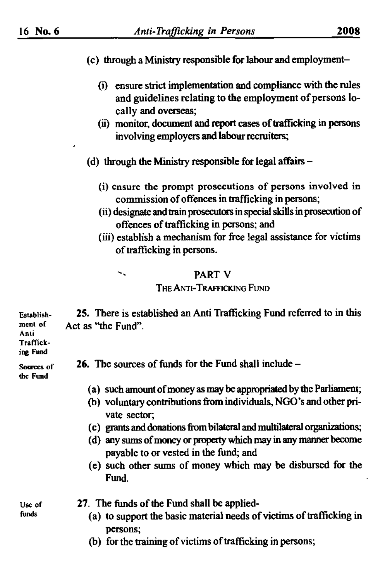- (c) through a Ministry responsible for labour and employment-
	- (i) ensure strict implementation and compliancewith the rules and guidelines relating to the employment of persons locally and overseas;
	- (ii) monitor, document and report cases of trafficking in persons involving employers and labour recruiters;
- (d) through the Ministry responsible for legal affairs  $-$ 
	- (i) ensure the prompt prosecutions of persons involved in commission of offences in trafficking in persons;
	- (ii) designate and train prosecutors in special skills in prosecution of offences of trafficking in persons; and
	- (iii) establish a mechanism for free legal assistance for victims of trafficking in persons.

# '. PART V

### THE ANTI-TRAFFICKING FUND

Establishment of Anli 25. There is established an Anti Trafficking Fund referred to in this Act as "the Fund".

#### Trafficking Fund

| <b><i>ING</i></b> . MAY |  |
|-------------------------|--|
| Sources of              |  |
| the Fimd                |  |

**26.** The sources of funds for the Fund shall include  $-$ 

- (a) such amount of money as may be appropriated by the Parliament;
- (b) voluntary contributions from individuals, NGO's and other private sector;
- (c) grants and donationsfrom bilateral and multilateral organizations;
- (d) any sums of money or property which may in any manner become payable to or vested in the fund; and
- (e) such other sums of money which may be disbursed for the Fund.

27. The funds of the Fund shall be applied-

- (a) to support the basic material needs of victims of trafficking in persons;
- (b) for the training of victims of trafficking in persons;

Use of funds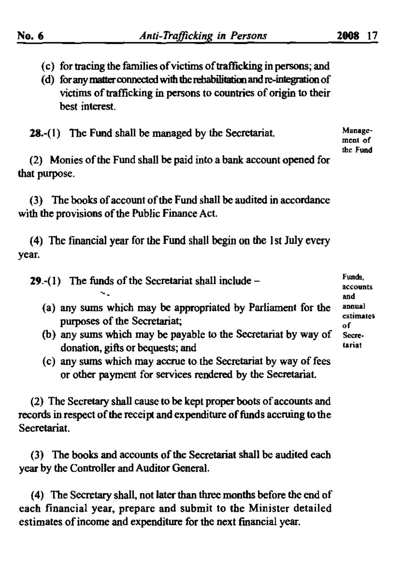(d) for any matter connected with the rebabilitation and re-integration of victims of trafficking in persons to countries of origin to their best interest.

28.-(1) The Fund shall be managed by the Secretariat.

 $(2)$  Monies of the Fund shall be paid into a bank account opened for that purpose.

(3) The books of account of the Fund shall be audited in accordance with the provisions of the Public Finance Act.

(4) The financial year for the Fund shall begin on the 1st July every year.

29.-(1) The funds of the Secretariat shall include  $-$ 

- (a) any sums which may be appropriated by Parliament for the purposes of the Secretariat;
- (b) any sums which may be payable to the Secretariat by way of donation. gifts or bequests; and
- (c) any sums which may accrue to the Secretariat by way of fees or other payment for services rendered by the Secretariat.

(2) The Secretary shall cause to be kept proper boots of accounts and records in respect of the receipt and expenditure of funds accruing to the Secretariat.

(3) The books and accounts of the Secretariat shall be audited each year by the Controller and Auditor General.

(4) The Secretary shall, not later than three months before the end of each financial year, prepare and submit to the Minister detailed estimates of income and expenditure for the next financial year.

Managemenl of the Fund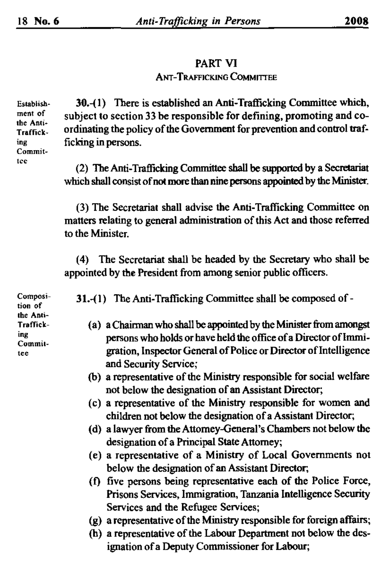#### PART VI ANT-TRAFFICKING CoMMITIEE

30.-( 1) There is established an Anti-Trafficking Committee which, subject to section 33 be responsible for defining, promoting and coordinating the policy of the Government for prevention and control trafficking in persons.

(2) The Anti-Trafficking Committee shall be supported by a Secretariat which shall consist of not more than nine persons appointed by the Minister.

(3) The Secretariat shall advise the Anti-Trafficking Committee on matters relating to general administration of this Act and those referred to the Minister.

(4) The Secretariat shall be headed by the Secretary who shall be appointed by the President from among senior public officers.

31.-(1) The Anti-Trafficking Committee shall be composed of-

- (a) a Chairman who shall be appointed by the Minister from amongst persons who holds or have held the office of a Director of Immigration, Inspector General ofPolice or Director of'Intelligence and Security Service;
- (b) a representative of the Ministry responsible for social welfare not below the designation of an Assistant Director;
- (c) a representative of the Ministry responsible for women and children not below the designation of a Assistant Director;
- (d) a lawyer from the Attomey-General's Chambers not below the designation of a Principal State Attorney;
- (e) a representative of a Ministry of Local Governments not below the designation of an Assistant Director;
- (f) five persons being representative each of the Police Force, Prisons Services, Immigration, Tanzania Intelligence Security Services and the Refugee Services;
- (g) a representative of the Ministry responsible for foreign affairs;
- (h) a representative of the Labour Department not below the designation of a Deputy Commissioner for Labour;

Establishment of the Anli· Trafficking Commit tee

Composition of the Anli-Trafficking Committee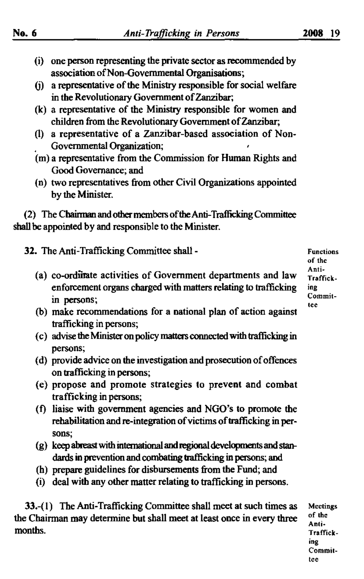- {i} one person representing the private sector as recommended by association of Non-Governmental Organisations;
- $(i)$  a representative of the Ministry responsible for social welfare in the Revolutionary Government of Zanzibar;
- (k) a representative of the Ministry responsible for women and children from the Revolutionary Government of Zanzibar;
- (I) a representative of a Zanzibar-based association of Non-Governmental Organization;
- (m) a representative from the Commission for Human Rights and Good Govemance; and
- (o) two representatives from other Civil Organizations appointed by the Minister.

(2) The Chainnan andotbermembers oftheAnti-Trafficking Committee shall be appointed by and responsible to the Minister.

32. The Anti-Trafficking Committee shall-

- (a) co-orditrate activities of Government departments and law enforcement organs charged with matters relating to trafficking in persons;
- (b) make recommendations for a national plan of action against trafficking in persons;
- (c) advisetheMinisteronpolicymatters connectedwithtrafficking in persons;
- (d) provide advice on the investigation and prosecution of offences on trafficking in persons;
- (e) propose and promote strategies to prevent and combat trafficking in persons;
- (f) liaise with government agencies and NGO's to promote the rehabilitation and re-integration of victims of trafficking in persons;
- $(g)$  keep abreast with international and regional developments and standards in prevention and combating trafficking in persons; and
- (h) prepare guidelines for disbursements from the Fund; and
- (i) deal with any other matter relating to trafficking in persons.

33.-( I) The Anti-Trafficking Committee shall meet at such times as the Chairman may determine but shall meet at least once in every three months.

Functions of thc Anti-Trafficking Commit tee.

Meetings of the Anti\_ Trafficking Committee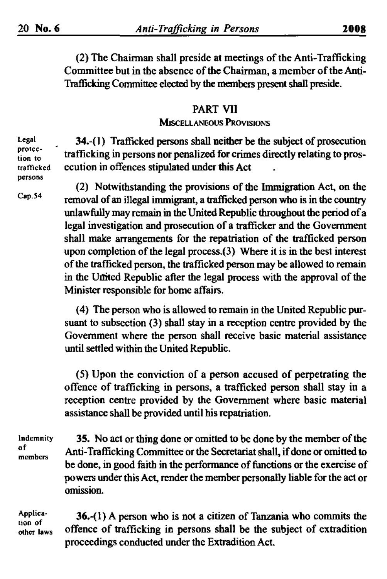(2) The Chairman shall preside at meetings of the Anti-Trafficking Committee but in the absence of the Chairman, a member of the Anti-Trafficking Committee elected by the members present shall preside.

# PART VII

## **MISCELLANEOUS PROVISIONS**

Legal protection to trafficked persons

Cap.54

34.-(1) Trafficked persons shall neither be the subject of prosecution trafficking in persons nor penalized for crimes directly relating to prosecution in offences stipulated under this Act

(2) Notwithstanding the provisions of the Immigration Act, on the removal of an illegal immigrant, a trafficked person who is in the country unlawfully may remain in the United Republic throughout the period of a legal investigation and prosecution of a trafficker and the Government shall make arrangements for the repatriation of the trafficked person upon completion of the legal process. $(3)$  Where it is in the best interest of the trafficked person, the trafficked person may be allowed to remain in the United Republic after the legal process with the approval of the Minister responsible for home affairs.

(4) The person who is allowed to remain in the United Republic pursuant to subsection (3) shall stay in a reception centre provided by the Government where the person shall receive basic material assistance until settled within the United Republic.

(5) Upon the conviction of a person accused of perpetrating the offence of trafficking in persons, a trafficked person shall stay in a reception centre provided by the Government where basic material assistance shall be provided until his repatriation.

Indemnity of members

35. No act or thing done or omitted to be done by the member of the Anti-Trafficking Committee or the Secretariat shall, if done or omitted to be done, in good faith in the performance of functions or the exercise of powers under this Act, render the member personally liable for the act or omission.

Application of other laws

36.-(I) A person who is not a citizen of Tanzania who commits the offence of trafficking in persons shall be the subject of extradition proceedings conducted under the Extradition Act.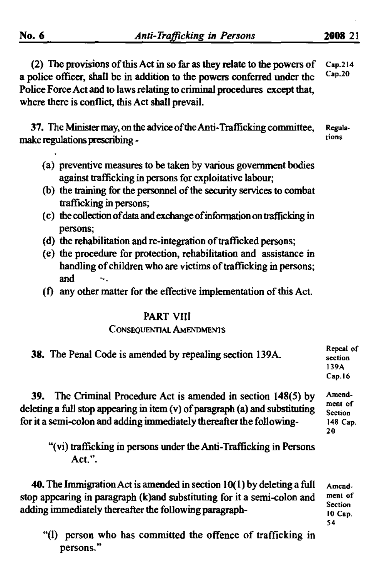(2) The provisions of this Act in so far as they relate to the powers of a police officer. shall be in addition to the powers conferred under the Police Force Act and to laws relating to criminal procedures except that, where there is conflict, this Act shall prevail.  $Cap.214$ Cap.20

37. The Minister may, on the advice of the Anti-Trafficking committee, make regulations prescribing -Regula. tions

- (a) preventive measures to be taken by various government bodies against trafficking in persons for exploitative labour,
- (b) the training for the personnel of the security services to combat trafficking in persons;
- (c) thecollection ofdataandexchangeofinfonnationontrafficking in persons;
- (d) the rehabilitation and re-integration of trafficked persons;
- (e) the procedure for protection, rehabilitation and assistance in handling of children who are victims of trafficking in persons; and
- $(f)$  any other matter for the effective implementation of this Act.

# PART VIIl

#### CONSEQUENTIAL AMENDMENTS

|     | <b>38.</b> The Penal Code is amended by repealing section 139A. | Repeal of<br>section<br>139A<br>Cap.16 |
|-----|-----------------------------------------------------------------|----------------------------------------|
| 39. | The Criminal Procedure Act is amended in section 148(5) by      | Amend-<br>ment of                      |

deleting a full stop appearing in item  $(v)$  of paragraph (a) and substituting for it a semi-colon and adding immediately thereafter the following-

"(vi) trafficking in persons under the Anti-Trafficking in Persons Act. ".

40. The Immigration Act is amended in section  $10(1)$  by deleting a full stop appearing in paragraph (k)and substituting for it a semi-colon and adding immediately thereafter the following paragraph-

Amcndment of Section 10 Cap. 54

Section 148 Cap. 20

"(I) person who has committed the offence of trafficking in persons."